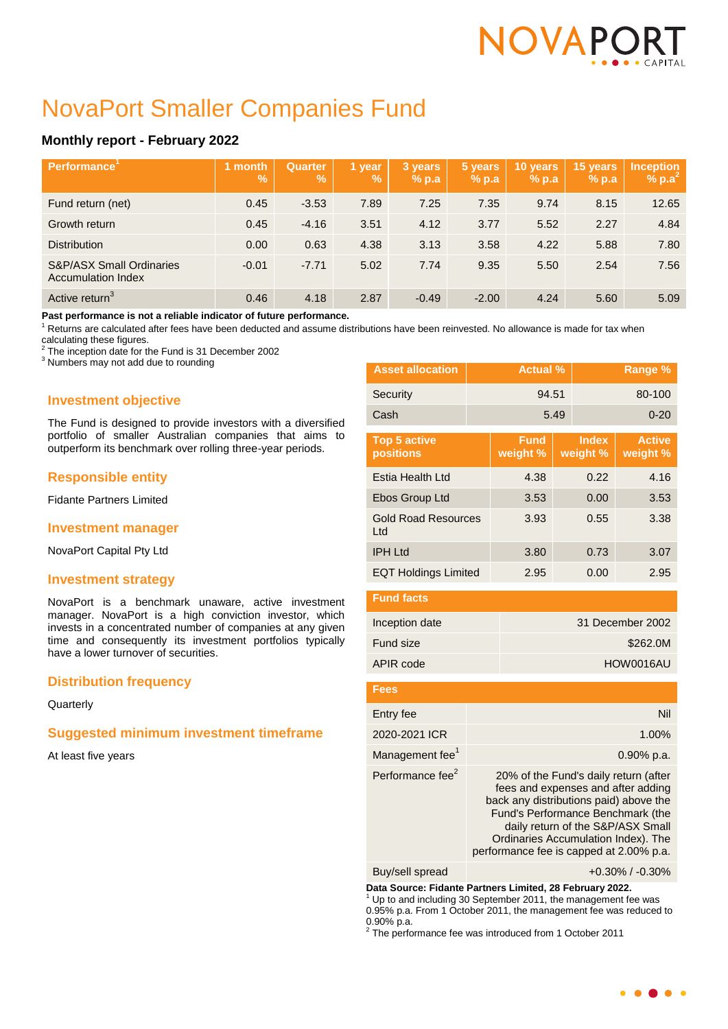# NOVAPC

# NovaPort Smaller Companies Fund

# **Monthly report - February 2022**

| Performance <sup>'</sup>                                         | month<br><b>V.</b> | Quarter<br><b>Volt</b> | 1 year<br><b>Vo.</b> | 3 years<br>$%$ p.a | 5 years<br>% p.a | 10 years<br>$%$ p.a | 15 years<br>$%$ p.a | <b>Inception</b><br>% $p.a^2$ |
|------------------------------------------------------------------|--------------------|------------------------|----------------------|--------------------|------------------|---------------------|---------------------|-------------------------------|
| Fund return (net)                                                | 0.45               | $-3.53$                | 7.89                 | 7.25               | 7.35             | 9.74                | 8.15                | 12.65                         |
| Growth return                                                    | 0.45               | $-4.16$                | 3.51                 | 4.12               | 3.77             | 5.52                | 2.27                | 4.84                          |
| <b>Distribution</b>                                              | 0.00               | 0.63                   | 4.38                 | 3.13               | 3.58             | 4.22                | 5.88                | 7.80                          |
| <b>S&amp;P/ASX Small Ordinaries</b><br><b>Accumulation Index</b> | $-0.01$            | $-7.71$                | 5.02                 | 7.74               | 9.35             | 5.50                | 2.54                | 7.56                          |
| Active return <sup>3</sup>                                       | 0.46               | 4.18                   | 2.87                 | $-0.49$            | $-2.00$          | 4.24                | 5.60                | 5.09                          |

**Past performance is not a reliable indicator of future performance.**

 $1$  Returns are calculated after fees have been deducted and assume distributions have been reinvested. No allowance is made for tax when

calculating these figures.<br><sup>2</sup> The incention data for the

The inception date for the Fund is 31 December 2002

<sup>3</sup> Numbers may not add due to rounding

# **Investment objective**

The Fund is designed to provide investors with a diversified portfolio of smaller Australian companies that aims to outperform its benchmark over rolling three-year periods.

# **Responsible entity**

Fidante Partners Limited

# **Investment manager**

NovaPort Capital Pty Ltd

# **Investment strategy**

NovaPort is a benchmark unaware, active investment manager. NovaPort is a high conviction investor, which invests in a concentrated number of companies at any given time and consequently its investment portfolios typically have a lower turnover of securities.

# **Distribution frequency**

**Quarterly** 

# **Suggested minimum investment timeframe**

At least five years

| <b>Asset allocation</b>           |  |                         | <b>Actual %</b> |                          | Range %                   |
|-----------------------------------|--|-------------------------|-----------------|--------------------------|---------------------------|
| Security                          |  | 94.51                   |                 |                          | 80-100                    |
| Cash                              |  |                         | 5.49            |                          | $0 - 20$                  |
| <b>Top 5 active</b><br>positions  |  | <b>Fund</b><br>weight % |                 | <b>Index</b><br>weight % | <b>Active</b><br>weight % |
| Estia Health Ltd                  |  | 4.38                    |                 | 0.22                     | 4.16                      |
| Ebos Group Ltd                    |  | 3.53                    |                 | 0.00                     | 3.53                      |
| <b>Gold Road Resources</b><br>Ltd |  | 3.93                    |                 | 0.55                     | 3.38                      |
| <b>IPH Ltd</b>                    |  | 3.80                    |                 | 0.73                     | 3.07                      |
| <b>EQT Holdings Limited</b>       |  | 2.95                    |                 | 0.00                     | 2.95                      |

| <b>Fund facts</b> |                  |
|-------------------|------------------|
| Inception date    | 31 December 2002 |
| Fund size         | \$262.0M         |
| APIR code         | HOW0016AU        |

| Fees                         |                                                                                                                                                                                                                                                                                   |
|------------------------------|-----------------------------------------------------------------------------------------------------------------------------------------------------------------------------------------------------------------------------------------------------------------------------------|
| Entry fee                    | Nil                                                                                                                                                                                                                                                                               |
| 2020-2021 ICR                | 1.00%                                                                                                                                                                                                                                                                             |
| Management fee <sup>1</sup>  | $0.90\%$ p.a.                                                                                                                                                                                                                                                                     |
| Performance fee <sup>2</sup> | 20% of the Fund's daily return (after<br>fees and expenses and after adding<br>back any distributions paid) above the<br>Fund's Performance Benchmark (the<br>daily return of the S&P/ASX Small<br>Ordinaries Accumulation Index). The<br>performance fee is capped at 2.00% p.a. |

**Data Source: Fidante Partners Limited, 28 February 2022.**

0.90% p.a. 2 The performance fee was introduced from 1 October 2011

 $\bullet$   $\bullet$   $\bullet$   $\bullet$ 

Buy/sell spread +0.30% / -0.30%

Up to and including 30 September 2011, the management fee was 0.95% p.a. From 1 October 2011, the management fee was reduced to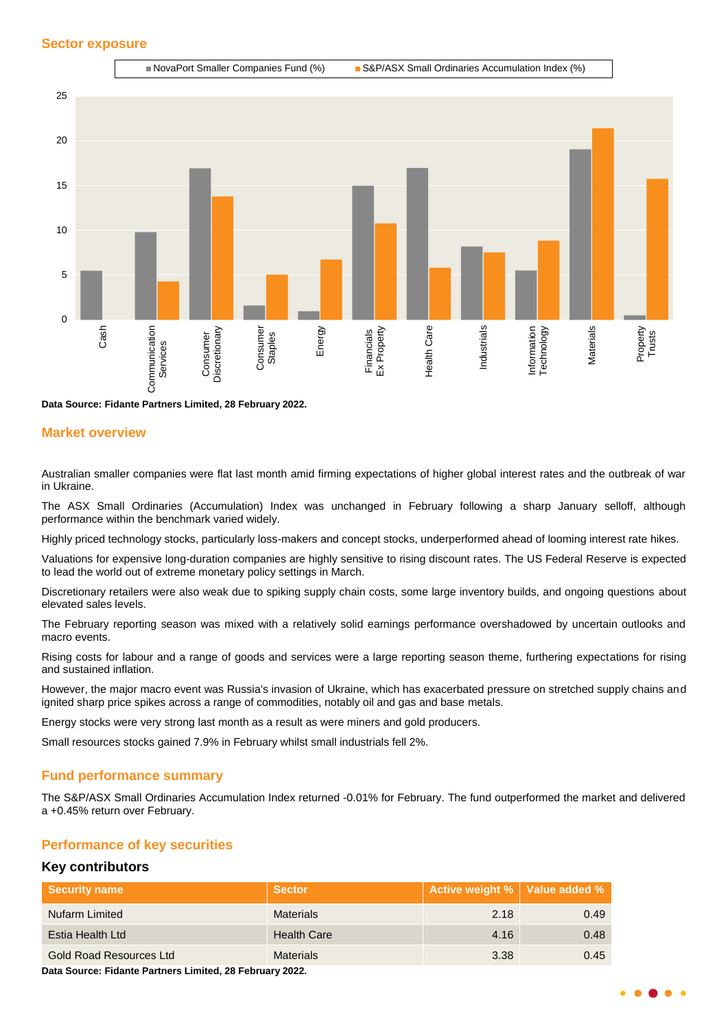#### **Sector exposure**



**Data Source: Fidante Partners Limited, 28 February 2022.**

#### **Market overview**

Australian smaller companies were flat last month amid firming expectations of higher global interest rates and the outbreak of war in Ukraine.

The ASX Small Ordinaries (Accumulation) Index was unchanged in February following a sharp January selloff, although performance within the benchmark varied widely.

Highly priced technology stocks, particularly loss-makers and concept stocks, underperformed ahead of looming interest rate hikes.

Valuations for expensive long-duration companies are highly sensitive to rising discount rates. The US Federal Reserve is expected to lead the world out of extreme monetary policy settings in March.

Discretionary retailers were also weak due to spiking supply chain costs, some large inventory builds, and ongoing questions about elevated sales levels.

The February reporting season was mixed with a relatively solid earnings performance overshadowed by uncertain outlooks and macro events.

Rising costs for labour and a range of goods and services were a large reporting season theme, furthering expectations for rising and sustained inflation.

However, the major macro event was Russia's invasion of Ukraine, which has exacerbated pressure on stretched supply chains and ignited sharp price spikes across a range of commodities, notably oil and gas and base metals.

Energy stocks were very strong last month as a result as were miners and gold producers.

Small resources stocks gained 7.9% in February whilst small industrials fell 2%.

#### **Fund performance summary**

The S&P/ASX Small Ordinaries Accumulation Index returned -0.01% for February. The fund outperformed the market and delivered a +0.45% return over February.

#### **Performance of key securities**

#### **Key contributors**

| <b>Security name</b>    | <b>Sector</b>      | Active weight %   Value added % |      |
|-------------------------|--------------------|---------------------------------|------|
| Nufarm Limited          | <b>Materials</b>   | 2.18                            | 0.49 |
| Estia Health Ltd        | <b>Health Care</b> | 4.16                            | 0.48 |
| Gold Road Resources Ltd | <b>Materials</b>   | 3.38                            | 0.45 |

**Data Source: Fidante Partners Limited, 28 February 2022.**